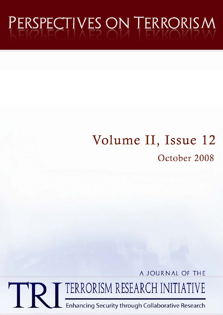# PERSPECTIVES ON TERRORISM

## Volume II, Issue 12 October 2008

A JOURNAL OF THE

TERRORISM RESEARCH INITIATIVE

Enhancing Security through Collaborative Research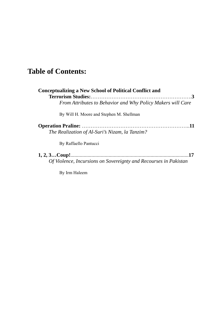### **Table of Contents:**

| <b>Conceptualizing a New School of Political Conflict and</b><br>From Attributes to Behavior and Why Policy Makers will Care |
|------------------------------------------------------------------------------------------------------------------------------|
| By Will H. Moore and Stephen M. Shellman                                                                                     |
| The Realization of Al-Suri's Nizam, la Tanzim?                                                                               |
| By Raffaello Pantucci                                                                                                        |
| Of Violence, Incursions on Sovereignty and Recourses in Pakistan                                                             |

By Irm Haleem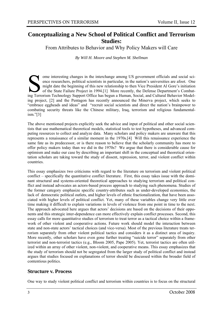#### **Conceptualizing a New School of Political Conflict and Terrorism Studies:**

From Attributes to Behavior and Why Policy Makers will Care

*By Will H. Moore and Stephen M. Shellman* 

Some interesting changes in the interchange among US government officials and social science researchers, political scientists in particular, in the nation's universities are afoot. One might date the beginning of this new ence researchers, political scientists in particular, in the nation's universities are afoot. One might date the beginning of this new relationship to then Vice President Al Gore's initiation of the State Failure Project in 1994.[1] More recently, the Defense Department's Combating Terrorism Technology Support Office has begun a Human, Social, and Cultural Behavior Modeling project, [2] and the Pentagon has recently announced the Minerva project, which seeks to "embrace eggheads and ideas" and "recruit social scientists and direct the nation's brainpower to combating security threats like the Chinese military, Iraq, terrorism and religious fundamentalism."[3]

The above mentioned projects explicitly seek the advice and input of political and other social scientists that use mathematical theoretical models, statistical tools to test hypotheses, and advanced computing resources to collect and analyze data. Many scholars and policy makers are unaware that this represents a renaissance of a similar moment in the 1970s.[4] Will this renaissance experience the same fate as its predecessor, or is there reason to believe that the scholarly community has more to offer policy makers today than we did in the 1970s? We argue that there is considerable cause for optimism and make our case by describing an important shift in the conceptual and theoretical orientation scholars are taking toward the study of dissent, repression, terror, and violent conflict within countries.

This essay emphasizes two criticisms with regard to the literature on terrorism and violent political conflict – specifically the quantitative conflict literature. First, this essay takes issue with the dominant structural and systems-oriented theoretical approaches to studying terrorism and political conflict and instead advocates an actors-based process approach to studying such phenomena. Studies of the former category emphasize specific country-attributes such as under-developed economies, the lack of democratic political outlets, and higher levels of ethnic fractionalization, that have been associated with higher levels of political conflict. Yet, many of these variables change very little over time making it difficult to explain variations in levels of violence from one point in time to the next. The approach advocated here argues that actors' decisions are based on the decisions of their opponents and this strategic inter-dependence can more effectively explain conflict processes. Second, this essay calls for more quantitative studies of terrorism to treat terror as a tactical choice within a framework of other violent and cooperative actions. Future work should model the interaction between state and non-state actors' tactical choices (and vice-versa). Most of the previous literature treats terrorism separately from other violent political tactics and considers it as a distinct area of inquiry. More recently, other scholars have even gone further treating "suicide terror" separately from other terrorist and non-terrorist tactics (e.g., Bloom 2005, Pape 2005). Yet, terrorist tactics are often utilized within an array of other violent, non-violent, and cooperative means. This essay emphasizes that the study of terrorism should not be segregated from the larger study of political conflict and instead argues that studies focused on explanations of terror should be discussed within the broader field of contentious politics.

#### **Structure v. Process**

One way to study violent political conflict and terrorism within countries is to focus on the structural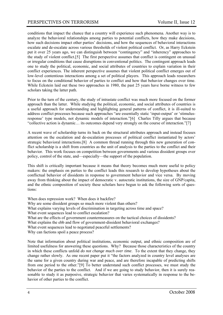conditions that impact the chance that a country will experience such phenomena. Another way is to analyze the behavioral relationships among parties to potential conflicts, how they make decisions, how such decisions impact other parties' decisions, and how the sequences of behavioral interactions escalate and de-escalate across various thresholds of violent political conflict. Or, as Harry Eckstein put it over 25 years ago, we can distinguish between "contingency" and "inherency" approaches to the study of violent conflict.[5] The first perspective assumes that conflict is contingent on unusual or irregular conditions that cause disruptions in conventional politics. The contingent approach leads one to study the political, economic, and social attributes of countries to explain variation in their conflict experiences. The inherent perspective assumes that violent political conflict emerges out of low-level contentious interactions among a set of political players. This approach leads researchers to focus on the conditional behavior of parties to conflict and how that behavior changes over time. While Eckstein laid out these two approaches in 1980, the past 25 years have borne witness to few scholars taking the latter path.

Prior to the turn of the century, the study of intrastate conflict was much more focused on the former approach than the latter. While studying the political, economic, and social attributes of countries is a useful approach for understanding and highlighting general patterns of conflict, it is ill-suited to address conflict processes because such approaches "are essentially static 'input-output' or 'stimulusresponse' type models, not dynamic models of interaction."[6] Charles Tilly argues that because "collective action is dynamic… its outcomes depend very strongly on the course of interaction."[7]

A recent wave of scholarship turns its back on the structural attributes approach and instead focuses attention on the escalation and de-escalation processes of political conflict instantiated by actors' strategic behavioral interactions.[8] A common thread running through this new generation of conflict scholarship is a shift from countries as the unit of analysis to the parties to the conflict and their behavior. This work focuses on competition between governments and various dissident groups over policy, control of the state, and—especially—the support of the population.

This shift is critically important because it means that theory becomes much more useful to policy makers: the emphasis on parties to the conflict leads this research to develop hypotheses about the conflictual behavior of dissidents in response to government behavior and vice versa. By moving away from thinking about the impact of democratic v. autocratic institutions, the size of GNP/capita, and the ethnic composition of society these scholars have begun to ask the following sorts of questions:

When does repression work? When does it backfire? Why are some dissident groups so much more violent than others? What explains varying levels of discrimination in targeting across time and space? What event sequences lead to conflict escalation? What are the effects of government countermeasures on the tactical choices of dissidents? What explains the ebb and flow of government-dissident behavioral exchanges? What event sequences lead to negotiated peaceful settlements? Why can factions spoil a peace process?

Note that information about political institutions, economic output, and ethnic composition are of limited usefulness for answering these questions. Why? Because those characteristics of the country in which these conflicts unfold *do not change much over time*. To the extent that they change, they change rather slowly. As one recent paper put it "the factors analyzed in country level analyses are the same for a given country during war and peace, and are therefore incapable of predicting shifts from one period to the other."[9] To better understand such conflict processes, we must study the behavior of the parties to the conflict. And if we are going to study behavior, then it is surely reasonable to study it as purposive, strategic behavior that varies systematically in response to the behavior of other parties to the conflict.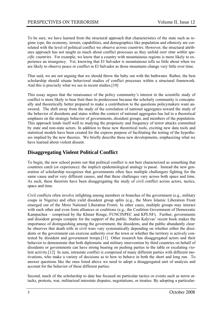To be sure, we have learned from the structural approach that characteristics of the state such as regime type, the economy, terrain, capabilities, and demographics like population and ethnicity are correlated with the level of political conflict we observe *across countries*. However, the structural attributes approach has not taught us much about conflict processes as they unfold *over time within specific countries*. For example, we know that a country with mountainous regions is more likely to experience an insurgency. Yet, knowing that El Salvador is mountainous tells us little about when we are likely to observe peace or conflict in El Salvador as those mountains change very little over time.

That said, we are not arguing that we should throw the baby out with the bathwater. Rather, the best scholarship should situate behavioral studies of conflict processes within a structural framework. And this is precisely what we see in recent studies.<sup>[10]</sup>

This essay argues that the renaissance of the policy community's interest in the scientific study of conflict is more likely to bear fruit than its predecessor because the scholarly community is conceptually and theoretically better prepared to make a contribution to the questions policymakers want answered. The shift away from the study of the correlation of national aggregates toward the study of the behavior of dissidents and states within the context of national aggregates has led to a theoretical emphasis on the strategic behavior of governments, dissident groups, and members of the population. This approach lends itself well to studying the propensity and frequency of terror attacks committed by state and non-state actors. In addition to these new theoretical tools, exciting new data tools and statistical models have been created for the express purpose of facilitating the testing of the hypotheses implied by the new theories. We briefly describe these new developments, emphasizing what we have learned about violent dissent.

#### **Disaggregating Violent Political Conflict**

To begin, the new school points out that political conflict is *not* best characterized as something that countries catch (or experience): the implicit epidemiological analogy is passé. Instead the new generation of scholarship recognizes that governments often face multiple challengers fighting for the same cause and/or very different causes, and that these challenges vary across both space and time. As such, these theorists have been disaggregating the study of civil conflict across actors, tactics, space and time.

Civil conflicts often involve infighting among members or branches of the government (e.g., military coups in Nigeria) and often yield dissident group splits (e.g., the Moro Islamic Liberation Front emerged out of the Moro National Liberation Front). In other cases, multiple groups may interact with each other and even form alliances or coalitions (e.g., the Coalition Government of Democratic Kampuchea – comprised by the Khmer Rouge, FUNCINPEC and KPLNF). Further, governments and dissident groups compete for the support of the public. Stathis Kalyvas' recent book makes the importance of distinguishing among the government, the dissidents, and the public abundantly clear: he observes that death tolls in civil wars vary systematically depending on whether either the dissidents or the government can exercise authority over the town or whether the territory is actively contested by dissident and government troops.[11] Other research has disaggregated actors and their behavior to demonstrate that both diplomatic and military intervention by third countries on behalf of dissidents or governments can have strong bearing on pushing parties to the table or escalating violent activity.[12] In sum, intrastate conflict is comprised of many different parties with different motivations, who make a variety of decisions as to how to behave in both the short and long run. To answer questions like the ones listed above we need to adopt a disaggregated unit of analysis and account for the behavior of these different parties.

Second, much of the scholarship to date has focused on particular tactics or events such as terror attacks, protests, war, militarized interstate disputes, negotiations, or treaties. By adopting a particular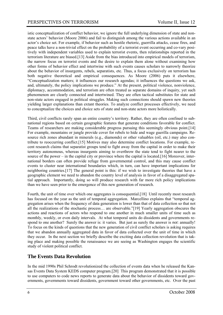istic conceptualization of conflict behavior, we ignore the full underlying dimension of state and nonstate actors' behavior (Moore 2006) and fail to distinguish among the various actions available in an actor's choice set. For example, if behavior such as hostile rhetoric, guerrilla attacks, cease fires, and peace talks have a non-trivial effect on the probability of a terrorist event occurring and co-vary positively with independent variables used to explain terrorist events, then relationships reported in the terrorism literature are biased.[13] Aside from the bias introduced into empirical models of terrorism, the narrow focus on terrorist events and the desire to explain them alone without examining how other forms of behavior effect and intertwine with such events causes scholars to narrowly theorize about the behavior of insurgents, rebels, separatists, etc. Thus, a focus exclusively on terrorism has both negative theoretical and empirical consequences. As Moore (2006) puts it elsewhere, "Conceptualization matters; it influences our research agendas; it influences the questions we ask, and, ultimately, the policy implications we produce." At the present, political violence, nonviolence, diplomacy, accommodation, and terrorism are often treated as separate domains of inquiry, yet such phenomenon are clearly connected and intertwined. They are often tactical substitutes for state and non-state actors engaged in political struggles. Making such connections should spawn new theories yielding larger explanations than extant theories. To analyze conflict processes effectively, we need to conceptualize the choices and choice sets of state and non-state actors more holistically.

Third, civil conflicts rarely span an entire country's territory. Rather, they are often confined to subnational regions based on certain geographic features that generate conditions favorable for conflict. Teams of researchers are making considerable progress pursuing this seemingly obvious point.[14] For example, mountains or jungle provide cover for rebels to hide and wage guerilla campaigns. Resource rich zones abundant in minerals (e.g., diamonds) or other valuables (oil, etc.) may also contribute to reoccurring conflict.[15] Motives may also determine conflict locations. For example, recent research claims that separatist groups tend to fight away from the capital in order to make their territory autonomous, whereas insurgents aiming to overthrow the state tend to fight nearer to the source of the power – in the capital city or province where the capital is located.[16] Moreover, international borders can often provide refuge from governmental control, and this may cause conflict events to cluster near international boundaries which, in turn, can have important implications for neighboring countries.[17] The general point is this: if we wish to investigate theories that have a geographic element we need to abandon the country level of analysis in favor of a disaggregated spatial approach. Importantly, doing so will produce research with far more rich policy implications than we have seen prior to the emergence of this new generation of research.

Fourth, the unit of time over which one aggregates is consequential.[18] Until recently most research has focused on the year as the unit of temporal aggregation. Marcellino explains that "temporal aggregation arises when the frequency of data generation is lower than that of data collection so that not all the realizations of the stochastic process… are observable."[19] Yearly aggregation obscures the actions and reactions of actors who respond to one another in much smaller units of time such as monthly, weekly, or even daily intervals. At what temporal units do dissidents and governments respond to one another? Surely the answer is: it varies. But just as surely the answer is *not*: annually! To focus on the kinds of questions that the new generation of civil conflict scholars is asking requires that we abandon annually aggregated data in favor of data collected over the unit of time in which they occur. In the next section we briefly describe the exciting data collection revolution that is taking place and making possible the renaissance we are seeing as Washington engages the scientific study of violent political conflict.

#### **The Events Data Revolution**

In the mid 1990s Phil Schrodt revolutionized the collection of events data when he released the Kansas Events Data System KEDS computer program.[20] This program demonstrated that it is possible to use computers to code news reports to generate data about the behavior of dissidents toward governments, governments toward dissidents, government toward other governments, etc. Over the past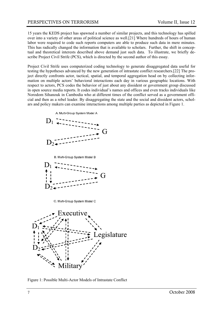15 years the KEDS project has spawned a number of similar projects, and this technology has spilled over into a variety of other areas of political science as well.[21] Where hundreds of hours of human labor were required to code such reports computers are able to produce such data in mere minutes. This has radically changed the information that is available to scholars. Further, the shift in conceptual and theoretical interests described above demand just such data. To illustrate, we briefly describe Project Civil Strife (PCS), which is directed by the second author of this essay.

Project Civil Strife uses computerized coding technology to generate disaggregated data useful for testing the hypotheses advanced by the new generation of intrastate conflict researchers.[22] The project directly confronts actor, tactical, spatial, and temporal aggregation head on by collecting information on multiple actors' behavioral interactions each day in various geographic locations. With respect to actors, PCS codes the behavior of just about any dissident or government group discussed in open source media reports. It codes individual's names and offices and even tracks individuals like Norodom Sihanouk in Cambodia who at different times of the conflict served as a government official and then as a rebel leader. By disaggregating the state and the social and dissident actors, scholars and policy makers can examine interactions among multiple parties as depicted in Figure 1.



B. Multi-Group System Model B



C. Multi-Group System Model C



Figure 1: Possible Multi-Actor Models of Intrastate Conflict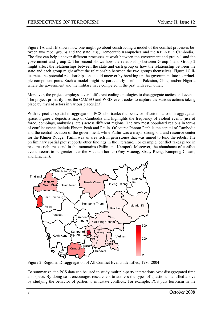Figure 1A and 1B shows how one might go about constructing a model of the conflict processes between two rebel groups and the state (e.g., Democratic Kampuchea and the KPLNF in Cambodia). The first can help uncover different processes at work between the government and group 1 and the government and group 2. The second shows how the relationship between Group 1 and Group 2 might affect the relationships between the state and each group or how the relationship between the state and each group might affect the relationship between the two groups themselves. Figure 1C illustrates the potential relationships one could uncover by breaking up the government into its principle component parts. Such a model might be particularly useful in Pakistan, Chile, and/or Nigeria where the government and the military have competed in the past with each other.

Moreover, the project employs several different coding ontologies to disaggregate tactics and events. The project primarily uses the CAMEO and WEIS event codes to capture the various actions taking place by myriad actors in various places.[23]

With respect to spatial disaggregation, PCS also tracks the behavior of actors across disaggregated space. Figure 2 depicts a map of Cambodia and highlights the frequency of violent events (use of force, bombings, ambushes, etc.) across different regions. The two most populated regions in terms of conflict events include Phnom Penh and Pailin. Of course Phnom Penh is the capital of Cambodia and the central location of the government, while Pailin was a major stronghold and resource center for the Khmer Rouge. Pailin was an area rich in gem stones that was mined to fund the rebels. The preliminary spatial plot supports other findings in the literature. For example, conflict takes place in resource rich areas and in the mountains (Pailin and Kampot). Moreover, the abundance of conflict events seems to be greater near the Vietnam border (Prey Veaeng, Sbaay Rieng, Kampong Chaam, and Kracheh).



Figure 2. Regional Disaggregation of All Conflict Events Identified, 1980-2004

To summarize, the PCS data can be used to study multiple-party interactions over disaggregated time and space. By doing so it encourages researchers to address the types of questions identified above by studying the behavior of parties to intrastate conflicts. For example, PCS puts terrorism in the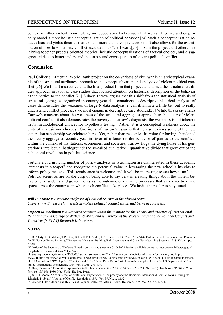context of other violent, non-violent, and cooperative tactics such that we can theorize and empirically model a more holistic conceptualization of political behavior.[24] Such a conceptualization reduces bias and yields theories that explain more than their predecessors. It also allows for the examination of how low intensity conflict escalates into "civil war".[25] In sum the project and others like it bring together process oriented theories, holistic conceptualizations of tactical choices, and disaggregated data to better understand the causes and consequences of violent political conflict.

#### **Conclusion**

Paul Collier's influential World Bank project on the co-variates of civil war is an archetypical example of the structural attributes approach to the conceptualization and analysis of violent political conflict.[26] We find it instructive that the final product from that project abandoned the structural attributes approach in favor of case studies that focused attention on historical description of the behavior of the parties to the conflict.[27] Sidney Tarrow argues that this shift from the statistical analysis of structural aggregates organized in country-year data containers to descriptive-historical analyses of cases demonstrates the weakness of large-N data analysis: it can illuminate a little bit, but to really understand conflict processes we must engage in descriptive case studies.[28] While this essay shares Tarrow's concerns about the weakness of the structural aggregates approach to the study of violent political conflict, it also demonstrates the poverty of Tarrow's diagnosis: the weakness is not inherent in its methodological choices for hypothesis testing. Rather, it is a conceptual weakness about the units of analysis one chooses. One irony of Tarrow's essay is that he also reviews some of the new generation scholarship we celebrate here. Yet, rather than recognize its value for having abandoned the overly-aggregated country-year in favor of a focus on the behavior of parties to the conflicts within the context of institutions, economies, and societies, Tarrow flogs the dying horse of his generation's intellectual battleground: the so-called qualitative—quantitative divide that grew out of the behavioral revolution in political science.

Fortunately, a growing number of policy analysts in Washington are disinterested in these academic "tempests in a teapot" and recognize the potential value in leveraging the new school's insights to inform policy makers. This renaissance is welcome and it will be interesting to see how it unfolds. Political scientists are on the cusp of being able to say very interesting things about the violent behavior of dissidents and governments as the outcome of dynamic processes that vary over time and space across the countries in which such conflicts take place. We invite the reader to stay tuned.

*Will H. Moore is Associate Professor of Political Science at the Florida State University with research interests in violent political conflict within and between countries.* 

*Stephen M. Shellman is a Research Scientist within the Institute for the Theory and Practice of International Relations at The College of William & Mary and is Director of the Violent Intranational Political Conflict and Terrorism (VIPCAT) Research Laboratory.* 

#### **NOTES:**

[1] D.C. Esty, J. Goldstone, T.R. Gurr, B. Harff, P.T. Surko, A.N. Unger, and R. Chen. "The State Failure Project: Early Warning Research for US Foreign Policy Planning." Preventive Measures: Building Risk Assessment and Crisis Early Warning Systems. 1988, Vol. xx, pp. 27-38.

[2] Office of the Secretary of Defense. Broad Agency Announcement 08-Q-3028 Packet, available online at: https://www.bids.tswg.gov/ tswg/bids.nsf/DownloadBAAs?OpenView.

[3] See http://www.nytimes.com/2008/06/18/arts/18minerva.html? r=2&8dpc&oref=slogin&oref=slogin for the story and http://

www.arl.army.mil/www/DownloadedInternetPages/CurrentPages/DoingBusinesswithARL/research/08-R-0007.pdf for the announcement. [4] SJ Andriole and GW Hopple. "The Rise and Fall of Event Data: From Basic Research to Applied Use in the US Department Of Defense." International Interactions, 1984. Vol. 11, pp. 293-309.

[5] Harry Eckstein. "Theoretical Approaches to Explaining Collective Political Violence." In T.R. Gurr (ed.) Handbook of Political Conflict, pp. 135-166. 1980. New York: The Free Press.

[6] Will H. Moore. "Action-Reaction or Rational Expectations? Reciprocity and the Domestic-International Conflict Nexus During the 'Rhodesia Problem'." Journal of Conflict Resolution. 1995. Vol. 39, No. 1, p.132.

[7] Charles Tilly. "Models and Realities of Popular Collective Action." Social Research. 1985. Vol. 52, No. 4, p. 1.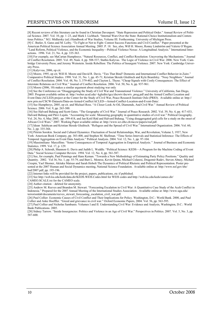[8] Recent reviews of this literature can be found in Christian Davenport. "State Repression and Political Order." Annual Review of Political Science. 2007. Vol. 10, pp. 1–23, and Mark I. Lichbach. "Internal Wars Over the State: Rational-Choice Institutionalism and Contentious Politics." M.I. Midlarsky (ed.) Handbook of War Studies, Volume III. Forthcoming. University of Michigan Press.

[9] C. Butler, S. Gates and M. Leiby. "To Fight or Not to Fight: Contest Success Functions and Civil Conflict." Paper presented at the American Political Science Association Annual Meeting. 2005. P. 18. See, also, Will H. Moore, Ronny Lindström and Valerie O'Regan. "Land Reform, Political Violence, and the Economic Inequality—Political Violence Nexus: A Longitudinal Analysis." International Interactions. 1996. Vol. 21, No. 4, pp. 335-363.

[10] For example, see MaCartan Humphreys. "Natural Resources, Conflict, and Conflict Resolution: Uncovering the Mechanisms." Journal of Conflict Resolution. 2005. Vol. 49, Num. 4, pp. 508-537; Stathis Kalyvas. The Logic of Violence in Civil War. 2006. New York: Cambridge University Press; and Jeremy Weinstein. Inside Rebellion: The Politics of Insurgent Violence. 2007. New York: Cambridge University Press.

[11] Kalyvvas, 2006, op cit.

[12] Moore, 1995, op cit; Will H. Moore and David R. Davis. "Ties That Bind? Domestic and International Conflict Behavior in Zaire." Comparative Political Studies. 1998. Vol. 31, No. 1, pp. 45-71; Kristian Skrede Gleditsch and Kyle Beardsley. "Nosy Neighbors." Journal of Conflict Resolution. 2004. Vol. 48, No. 3, 379-402; and Clayton L. Thyne. "Cheap Signals with Costly Consequences: The Effect of Interstate Relations on Civil War." Journal of Conflict Resolution. 2006. Vol. 50, No. 6, pp. 937-961.

[13] Moore (2006, 10) makes a similar argument about studying war only

[14] See the Conference on "Disaggregating the Study of Civil War and Transnational Violence." University of California, San Diego, 2005. Program available online at: http://weber.ucsd.edu/~kgledits/igcc/dscwtv/dscwtv\_prog.pdf and the Armed Conflict Location and Event Data (ACLED) project at the Center for the Study of Civil War, Peace Research Institute Oslo (PRIO). Available online at: http:// new.prio.no/CSCW-Datasets/Data-on-Armed-Conflict/ACLED---Armed-Conflict-Location-and-Event-Data/.

[15] See Humphreys, 2005, op cit. and Michael Ross. "A Closer Look At Oil, Diamonds, And Civil War." Annual Review of Political Science. 2006. Vol. 9, pp. 265-300.

[16] See Halvard Buhaug and Scott Gates. "The Geography of Civil War." Journal of Peace Research. 2002. Vol. 39, No. 4, pp. 417-433, Halvard Buhaug and Päivi Lujala. "Accounting for scale: Measuring geography in quantitative studies of civil war." Political Geography. Vol. 24, No. 4, May 2005, pp. 399-418, and Jan Ketil Rǿd and Halvard Buhaug. "Using disaggregated grid cells for a study on the onset of African Civil Wars." 2007. Working Paper available online at: http://www.icr.ethz.ch/mccw/papers/rod.pdf.

[17] Idean Salehyan and Kristian Skrede Gleditsch. "Refugees and the Spread of Civil War." International Organization. 2006. Vol. 60, No. 2, pp. 335-366.

[18] Pitirim Sorokin. Social and Cultural Dynamics: Fluctuation of Social Relationships, War, and Revolution, Volume 3, 1937, New York: American Book Company, pp. 383-408, and Stephen M. Shellman. "Time Series Intervals and Statistical Inference: The Effects of Temporal Aggregation on Event Data Analysis." Political Analysis. 2004. Vol. 12, No. 1, pp. 97-104.

[19] Massimiliano Marcellino. "Some Consequences of Temporal Aggregation in Empirical Analysis.'' Journal of Business and Economic Statistics. 1999. Vol. 17, p. 129.

[20] Philip A. Schrodt, Shannon G. Davis and Judith L. Weddle. "Political Science: KEDS—A Program for the Machine Coding of Event Data." Social Science Computer Review. 1994. Vol. 12, No. 4, pp. 561-587.

[21] See, for example, Paul Pennings and Hans Keman. "Towards a New Methodology of Estimating Party Policy Positions." Quality and Quantity. 2002. Vol 36, No. 1, pp. 55-79, and Burt L. Monroe, Kevin Quinn, Michael Colaresi, Dragomir Radev, Steven Abney, Michael Crespin, Yael Shomer, Akitaka Matsuo and Sarah Hobolt The Dynamics of Political Rhetoric and Political Representation. Poster presented at the 2007 Human and Social Dynamics meeting, National Science Foundation. Available online at: http://www.nsf.gov/sbe/ hsd/2007.pdf, pp. 195-196.

[22] Internet links will be provided for the project, papers, publications, etc if published.

[23] See http://web.ku.edu/keds/data.dir/KEDS.WEIS.Codes.html for WEIS codes and http://web.ku.edu/keds/cameo.dir/

CAMEO.SCALE.txt for the CAMEO scale.

[24] Author citation – deleted for anonymity.

[25] Andrew M. Reeves and Brandon M. Stewart. "Forecasting Escalation in Civil War: A Quantitative Case Study of the Aceh Conflict in Indonesia." Prepared for the 2007 Annual Meeting of the International Studies Association. Available online at: http://www.uga.edu/ terrorismlab/documents/reeves\_stewart\_forecasting\_escalation\_civil\_war.pdf.

[26] Paul Collier. Economic Causes of Civil Conflict and Their Implications for Policy. Washington, D.C.: World Bank. 2000, and Paul Collier and Anke Hoeffler. "Greed and grievance in civil war." Oxford Economic Papers, 2004. Vol. 56, pp. 563-595.

[27] Paul Collier and Nicholas Sambanis. Volumes I and II. Understanding Civil War: Evidence and Analysis, Washington, D.C.: World Bank Publications. 2005.

[28] Sidney Tarrow. "Inside Insurgencies: Politics and Violence in an Age of Civil War." Perspectives in Politics. 2007. Vol. 5, No. 3, pp. 587-600.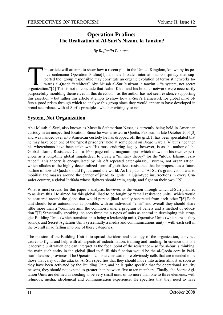#### **Operation Praline: The Realization of Al-Suri's Nizam, la Tanzim?**

*By Raffaello Pantucci* 

This article will attempt to show how a recent plot in the United Kingdom, known by its po-<br>lice codename Operation Praline[1], and the broader international conspiracy that sup-<br>ported the group responsible may constitute lice codename Operation Praline[1], and the broader international conspiracy that supported the group responsible may constitute an organic evolution of terrorist networks towards al-Qaeda "architect" Abu Musab al-Suri's nizam la tanzim – "a system, not secret organization."[2] This is not to conclude that Aabid Khan and his broader network were necessarily purposefully moulding themselves in this direction – as the author has not seen evidence supporting this assertion – but rather this article attempts to show how al-Suri's framework for global jihad offers a good prism through which to analyse this group since they would appear to have developed in broad accordance with al-Suri's principles, whether wittingly or no.

#### **System, Not Organization**

Abu Musab al-Suri, also known as Mustafa Sethmariam Nasar, is currently being held in American custody in an unspecified location. Since he was arrested in Quetta, Pakistan in late October 2005[3] and was handed over into American custody he has dropped off the grid. It has been speculated that he may have been one of the "ghost prisoners" held at some point on Diego Garcia,[4] but since then his whereabouts have been unknown. His most enduring legacy, however, is as the author of the Global Islamic Resistance Call, a 1600-page online magnum opus which draws on his own experiences as a long-time global mujahedeen to create a "military theory" for the "global Islamic resistance." This theory is encapsulated by his oft repeated catch-phrase, "system, not organization" which alludes to the highly decentralized form of globalized resistance that he proposes as a future outline of how al-Qaeda should fight around the world. As Lia puts it, "Al-Suri's grand vision was to mobilise the masses around the banner of jihad, to ignite Fallujah-type insurrections in every Crusader country, a global Intifada whose fighters should train, equip, and fight on their own."[5]

What is most crucial for this paper's analysis, however, is the vision through which al-Suri planned to achieve this. He aimed for this global jihad to be fought by "small resistance units" which would be scattered around the globe that would pursue jihad "totally separated from each other."[6] Each unit should be as autonomous as possible, with an individual "emir" and overall they should share little more than a "common aim, the common name, a program of beliefs and a method of education."[7] Structurally speaking, he sees three main types of units as central in developing this struggle: Building Units (which translates into being a leadership unit), Operative Units (which are as they sound), and Secret Agitation Units (essentially a media and communications unit) – with each cell in the overall jihad falling into one of these categories.

The mission of the Building Unit is to spread the ideas and ideology of the organization, convince cadres to fight, and help with all aspects of indoctrination, training and funding. In essence this is a leadership unit which one can interpret as the focal point of the resistance – so for al-Suri's thinking, the main such entity in the global jihad to fulfil this function would be the al-Qaeda core in Pakistan's lawless provinces. The Operation Units are instead more obviously cells that are intended to be those that carry out the attacks. Al-Suri specifies that they should move into action almost as soon as they have been activated by the Building Unit, and he is quite specific that for operational security reasons, they should not expand to greater than between five to ten members. Finally, the Secret Agitation Units are defined as needing to be very small units of no more than one to three elements, with religious, media, ideological and communication experience. He specifies that they need to have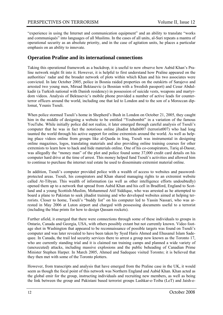"experience in using the Internet and communication equipment" and an ability to translate "works and communiqués" into languages of all Muslims. In the cases of all units, al-Suri repeats a mantra of operational security as an absolute priority, and in the case of agitation units, he places a particular emphasis on an ability to innovate.

#### **Operation Praline and its international connections**

Taking this operational framework as a backdrop, it is useful to now observe how Aabid Khan's Praline network might fit into it. However, it is helpful to first understand how Praline appeared on the authorities' radar and the broader network of plots within which Khan and his two associates were convicted. In late October 2005, police in Bosnia raided properties on the outskirts of Sarajevo and arrested two young men, Mirsad Bektasevic (a Bosnian with a Swedish passport) and Cesur Abdulkadir (a Turkish national with Danish residency) in possession of suicide vests, weapons and martyrdom videos. Analysis of Bektasevic's mobile phone provided a number of active leads for counterterror officers around the world, including one that led to London and to the son of a Moroccan diplomat, Younis Tsouli.

When police stormed Tsouli's home in Shepherd's Bush in London on October 21, 2005, they caught him in the middle of designing a website to be entitled "Youbombit" in a variation of the famous YouTube. While initially police did not realize, it later emerged through careful analysis of Tsouli's computer that he was in fact the notorious online jihadist Irhabi007 (terrorist007) who had long taunted the world through his active support for online extremists around the world. As well as helping place videos online from groups like al-Qaeda in Iraq, Tsouli was instrumental in designing online magazines, logos, translating materials and also providing online training courses for other extremists to learn how to hack and hide materials online. One of his co-conspirators, Tariq al-Daour, was allegedly the "money man" of the plot and police found some 37,000 credit card details on his computer hard drive at the time of arrest. This money helped fund Tsouli's activities and allowed him to continue to purchase the internet real estate he used to disseminate extremist material online.

In addition, Tsouli's computer provided police with a wealth of access to websites and passwordprotected areas. Tsouli, his conspirators and Khan shared managing rights to an extremist website called At-Tibyan. This wealth of information (as well as other intelligence efforts undoubtedly) opened them up to a network that spread from Aabid Khan and his cell in Bradford, England to Scotland and a young Scottish-Muslim, Mohammed Atif Siddique, who was arrested as he attempted to board a plane to Pakistan to seek jihadist training and who developed websites aimed at helping terrorists. Closer to home, Tsouli's "buddy list" on his computer led to Yassin Nassari, who was arrested in May 2006 at Luton airport and charged with possessing documents useful to a terrorist (including the blue prints for how to design Qassam rockets).

Further afield, it emerged that there were connections through some of these individuals to groups in Ontario, Canada and Georgia, USA, with others possibly extant but not currently known. Video footage shot in Washington that appeared to be reconnaissance of possible targets was found on Tsouli's computer and was later revealed to have been taken by Syed Haris Ahmed and Ehusanul Islam Sadequee. In Canada, the trail led security services there to arrest a group now known as the Toronto 17, who are currently standing trial and it is claimed ran training camps and planned a wide variety of (unexecuted) attacks, including massive explosions and the public beheading of Canadian Prime Minister Stephen Harper. In March 2005, Ahmed and Sadequee visited Toronto; it is believed that they then met with some of the Toronto plotters.

However, from transcripts and analysis that have emerged from the Praline case in the UK, it would seem as though the focal point of this network was Northern England and Aabid Khan. Khan acted as the global emir for the group, instructing individuals and recruiting new members, as well as being the link between the group and Pakistani based terrorist groups Lashkar-e-Toiba (LeT) and Jaish-e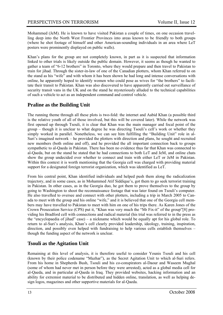Mohammed (JeM). He is known to have visited Pakistan a couple of times, on one occasion travelling deep into the North West Frontier Provinces into areas known to be friendly to both groups (where he shot footage of himself and other American-sounding individuals in an area where LeT posters were prominently displayed on public walls).

Khan's plans for the group are not completely known, in part as it is suspected that information linked to other trials is likely outside the public domain. However, it seems as though he wanted to gather a team of "6-12 brothers" in Toronto, where they would prepare and then travel to Pakistan to train for jihad. Through the sister-in-law of one of the Canadian plotters, whom Khan referred to on the stand as his "wife" and with whom it has been shown he had long and intense conversations with online, he apparently hoped to identify women who could pose as wives for "the brothers" to facilitate their transit to Pakistan. Khan was also discovered to have apparently carried out surveillance of security transit vans in the UK and on the stand he mysteriously alluded to the technical capabilities of such a vehicle to act as an independent command and control vehicle.

#### **Praline as the Building Unit**

The running theme through all these plots is two-fold: the internet and Aabid Khan (a possible third is the relative youth of all of those involved, but this will be covered later). While the network was first opened up through Tsouli, it is clear that Khan was the main manager and focal point of the group – though it is unclear to what degree he was directing Tsouli's cell's work or whether they simply worked in parallel. Nonetheless, we can see him fulfilling the "Building Unit" role in al-Suri's imagined network – he provided the plotters with direction and plans, he sought and recruited new members (both online and off), and he provided the all important connection back to groups sympathetic to al-Qaeda in Pakistan. There has been no evidence thus far that Khan was connected to al-Qaeda, but on the stand he stated that he had connections to both LeT and JeM, and online chats show the group undecided over whether to connect and train with either LeT or JeM in Pakistan. Within this context it is worth mentioning that the Georgia cell was charged with providing material support for a designated foreign terrorist organization, which was identified as LeT.

From his central point, Khan identified individuals and helped push them along the radicalization trajectory, and in some cases, as in Mohammed Atif Siddique's, got them to go seek terrorist training in Pakistan. In other cases, as in the Georgia duo, he got them to prove themselves to the group by going to Washington to shoot the reconnaissance footage that was later found on Tsouli's computer. He also travelled to oversee and connect with other plotters, including a trip in March 2005 to Canada to meet with the group and his online "wife," and it is believed that one of the Georgia cell members may have travelled to Pakistan to meet with him on one of his trips there. As Karen Jones of the Crown Prosecution Service (CPS) put it, "Khan was very much the "Mr Fix-it" of the group"[8] providing his Bradford cell with connections and radical material (his trial was referred to in the press as the "encyclopaedia of jihad" case) – a nickname which would be equally apt for his global role. To return to al-Suri's analysis, Khan's cell clearly provided leadership, ideology, training, inspiration, direction, and possibly even helped with fundraising to help various cells establish themselves – though the funding aspect of the network is unclear.

#### **Tsouli as the Agitation Unit**

Remaining at this level of analysis, it is therefore useful to consider Younis Tsouli and his cell (known by their police codename "Mazhar"), as the Secret Agitation Unit to which al-Suri refers. From his home in Shepherds Bush, Tsouli and his co-conspirators al-Daour and Waseem Mughal (some of whom had never met in person before they were arrested), acted as a global media cell for al-Qaeda, and in particular al-Qaeda in Iraq. They provided websites, hacking information and an ability for extremist material to be distributed and hidden online, translation, as well as helping design logos, magazines and other supportive materials for al-Qaeda.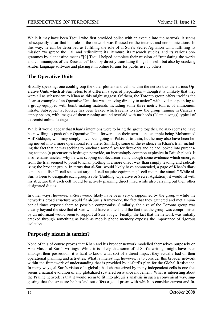While it may have been Tsouli who first provided police with an avenue into the network, it seems subsequently clear that his role in the network was focused on the internet and communications. In this way, he can be described as fulfilling the role of al-Suri's Secret Agitation Unit, fulfilling its mission "to spread the Call and redistribute its literature, its research studies, and its various programmes by clandestine means."[9] Tsouli helped complete their mission of "translating the works and communiqués of the Resistance" both by directly translating things himself, but also by cracking Arabic language software and placing it in online forums for public use by others.

#### **The Operative Units**

Broadly speaking, one could group the other plotters and cells within the network as the various Operative Units which al-Suri refers to at different stages of preparation – though it is unlikely that they were all as subservient to Khan as this might suggest. Of them, the Toronto group offers itself as the clearest example of an Operative Unit that was "moving directly to action" with evidence pointing to a group equipped with bomb-making materials including some three metric tonnes of ammonium nitrate. Subsequently, footage has been leaked which seems to show the group training in Canada's empty spaces, with images of them running around overlaid with nasheeds (Islamic songs) typical of extremist online footage.

While it would appear that Khan's intentions were to bring the group together, he also seems to have been willing to push other Operative Units forwards on their own – one example being Mohammed Atif Siddique, who may simply have been going to Pakistan to train, but he may also have been being moved into a more operational role there. Similarly, some of the evidence in Khan's trial, including the fact that he was seeking to purchase some fuses for fireworks and he had looked into purchasing acetone (a precursor to hydrogen peroxide, an increasingly common explosive in British plots). It also remains unclear why he was scoping out Securicor vans, though some evidence which emerged from the trial seemed to point to Khan plotting in a more direct way than simply leading and radicalizing the broader group. In terms that al-Suri would likely have commended, a page of Khan's diary contained a list: "1 cell stake out target; 1 cell acquire equipment; 1 cell mount the attack." While al-Suri is keen to designate each group a role (Building, Operative or Secret Agitation), it would fit with his structure that each cell would be actively planning direct jihad while also carrying out their other designated duties.

In other ways, however, al-Suri would likely have been very disappointed by the group – while the network's broad structure would fit al-Suri's framework, the fact that they gathered and met a number of times exposed them to possible compromise. Similarly, the size of the Toronto group was clearly beyond the size that al-Suri would have wanted, and the fact that the group was compromised by an informant would seem to support al-Suri's logic. Finally, the fact that the network was initially cracked through something as basic as mobile phone memory exposes the importance of rigorous isolation.

#### **Purposely nizam la tanzim?**

None of this of course proves that Khan and his broader network modelled themselves purposely on Abu Musab al-Suri's writings. While it is likely that some of al-Suri's writings might have been amongst their possession, it is hard to know what sort of a direct impact they actually had on their operational planning and activities. What is interesting, however, is to consider this broader network within the framework of understanding that is provided by al-Suri's plan for the Global Resistance. In many ways, al-Suri's vision of a global jihad characterized by many independent cells is one that seems a natural evolution of any globalized scattered resistance movement. What is interesting about the Praline network is that it would seem to fit into al-Suri's analysis in such a convenient way, suggesting that the structure he has laid out offers a good prism with which to consider current and fu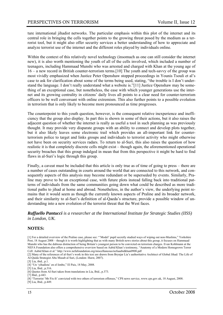ture international jihadist networks. The particular emphasis within this plot of the internet and its central role in bringing the cells together points to the growing threat posed by the medium as a terrorist tool, but it might also offer security services a better understanding of how to appreciate and analyze terrorist use of the internet and the different roles played by individuals online.

Within the context of this relatively novel technology (insomuch as one can still consider the internet new), it is also worth mentioning the youth of all of the cells involved, which included a number of teenagers, including Hammaad Munshi who was arrested and charged with Khan at the young age of 16 – a new record in British counter-terrorism terms.[10] The youth and tech-savvy of the group was most vividly emphasized when Justice Peter Openshaw stopped proceedings in Younis Tsouli et al's case to ask for clarification about some of the terms being used, stating, "the trouble is I don't understand the language. I don't really understand what a website is."[11] Justice Openshaw may be something of an exceptional case, but nonetheless, the ease with which younger generations use the internet and its growing centrality in citizens' daily lives all points to a clear need for counter-terrorism officers to be well conversant with online extremism. This also further points to a possible evolution in terrorism that is only likely to become more pronounced as time progresses.

The counterpoint to this youth question, however, is the consequent relative inexperience and inefficiency that the group also display. In part this is shown in some of their actions, but it also raises the adjacent question of whether the internet is really as useful a tool in such planning as was previously thought. It may provide very disparate groups with an ability to connect and develop plots together, but it also likely leaves some electronic trail which provides an all-important link for counterterrorism police to target and links groups and individuals to terrorist activity who might otherwise not have been on security services radars. To return to al-Suri, this also raises the question of how realistic it is that completely discrete cells might exist – though again, the aforementioned operational security breaches that this group indulged in mean that from this perspective it might be hard to find flaws in al-Suri's logic through this group.

Finally, a caveat must be included that this article is only true as of time of going to press – there are a number of cases outstanding in courts around the world that are connected to this network, and consequently aspects of this analysis may become redundant or be superseded by events. Similarly, Praline may prove to be an exceptional case, with future plots instead falling back into traditional patterns of individuals from the same communities going down what could be described as more traditional paths to jihad at home and abroad. Nonetheless, in the author's view, the underlying point remains that it would seem as though the currently known aspects of Praline and its broader network, and their similarity to al-Suri's definition of al-Qaeda's structure, provide a possible window of understanding into a new evolution of the terrorist threat that the West faces.

*Raffaello Pantucci is a researcher at the International Institute for Strategic Studies (IISS) in London, UK.* 

#### **NOTES:**

[1] For a detailed overview of the Praline case, please see: "'Model' pupil secretly studied ways of wiping out non-Muslims," Yorkshire Post, 18 August 2008 – though it is worth highlighting that as with many British news stories about this group, it focuses on Hammaad Munshi who has the dubious distinction of being Britain's youngest person to be convicted on terrorism charges. Evan Kohlmann at the NEFA Foundation also offers a comprehensive overview based on Aabid Khan's testimony, "Anatomy of a Modern Homegrown Terror Cell: Aabid Khan et al." http://www.nefafoundation.org/miscellaneous/nefaaabidkhan0908.pdf

[2] Many of the references of al-Suri's work in this text are drawn from Brynjar Lia's authoritative Architect of Global Jihad: The Life of Al-Qaida Strategist Abu Musab al Suri, (London: Hurst, 2007).

[8] "Terrorist 'Mr Fix-It' convicted with two others of terrorism offenses," CPS news service, www.cps.gov.uk, 18 August, 2008.

<sup>[3]</sup> Lia, ibid., p.1.

<sup>[4] &</sup>quot;Un 'yihadista' en el limbo," El Pais, 18 May, 2008.

<sup>[5]</sup> Lia, Ibid., p.316.

<sup>[6]</sup> Quotes from Al-Suri taken from translations in Lia, Ibid., p.373.

<sup>[7]</sup> Ibid., p.443.

<sup>[9]</sup> Lia, Ibid., p.449.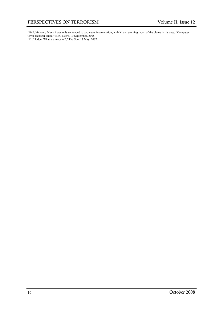[10] Ultimately Munshi was only sentenced to two years incarceration, with Khan receiving much of the blame in his case, "Computer terror teenager jailed," BBC News, 19 September, 2008.

[11] "Judge: What is a website?," The Sun, 17 May, 2007.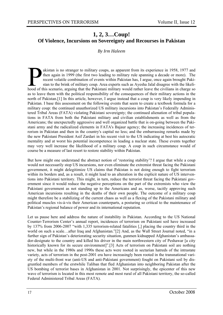#### **1, 2, 3…Coup! Of Violence, Incursions on Sovereignty and Recourses in Pakistan**

*By Irm Haleem* 

akistan is no stranger to military coups, as apparent from its experience in 1958, 1977 and then again in 1999 (the first two leading to military rule spanning a decade or more). The recent volatile combination of events w then again in 1999 (the first two leading to military rule spanning a decade or more). The recent volatile combination of events within Pakistan has, I argue, once again brought Pakistan to the brink of military coup. Area experts such as Ayesha Jalal disagree with the likelias to leave them with the political responsibility of the consequences of their military actions in the north of Pakistan.[1] In this article, however, I argue instead that a coup is very likely impending in Pakistan. I base this assessment on the following events that seem to create a textbook formula for a military coup: the continued unauthorized US military incursions into Pakistan's Federally Administered Tribal Areas (FATA) violating Pakistani sovereignty; the continued alienation of tribal populations in FATA from both the Pakistani military and civilian establishments as well as from the Americans; the unexpectedly aggressive and well organized battle that is on-going between the Pakistani army and the radicalized elements in FATA's Bajaur agency; the increasing incidences of terrorism in Pakistan and then in the country's capital no less; and the embarrassing remarks made by the new Pakistani President Asif Zardari in his recent visit to the US indicating at best his autocratic mentality and at worst his potential incompetence in leading a nuclear state. These events together may very well increase the likelihood of a military coup. A coup in such circumstance would of course be a measure of last resort to restore stability within Pakistan.

But how might one understand the abstract notion of 'restoring stability'? I argue that while a coup would not necessarily stop US incursions, nor even eliminate the extremist threat facing the Pakistani government, it might delegitimize US claims that Pakistan is not doing enough to fight terrorism within its borders and, as a result, it might lead to an alteration in the explicit nature of US interventions into Pakistani territory. This might, in turn, reduce the terrorist threat facing the Pakistani government since it would reduce the negative perceptions on the part of the extremists who view the Pakistani government as not standing up to the Americans and as, worse, tacitly approving such American incursions resulting in the deaths of their own people. The outcome of a military coup might therefore be a stabilizing of the current chaos as well as a flexing of the Pakistani military and political muscles vis-à-vis their American counterparts, a posturing so critical to the maintenance of Pakistan's regional balance of power and its international reputation.

Let us pause here and address the nature of instability in Pakistan. According to the US National Counter-Terrorism Center's annual report, incidences of terrorism on Pakistani soil have increased by 137% from 2006-2007 "with 1,335 terrorism-related fatalities [,] placing the country third in the world on such a scale...after Iraq and Afghanistan."[2] And, as the Wall Street Journal noted, "in a further sign of Pakistan's deteriorating security situation, gunmen kidnapped Afghanistan's ambassador-designate to the country and killed his driver in the main northwestern city of Peshawar [a city historically known for its secure environment]".[3] Acts of terrorism on Pakistani soil are nothing new, but while in the 1980s and 1990s these acts were rooted in sectarian hatreds of the intrastate variety, acts of terrorism in the post-2001 era have increasingly been rooted in the transnational variety of the multi-front war (anti-US and anti-Pakistani government) fought on Pakistani soil by disgruntled members of the erstwhile Taliban that fled Afghanistan into neighboring Pakistan after the US bombing of terrorist bases in Afghanistan in 2001. Not surprisingly, the epicenter of this new wave of terrorism is located in this most remote and most rural of all Pakistani territory, the so-called Federal Administered Tribal Areas (FATA).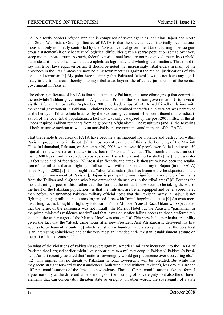FATA directly borders Afghanistan and is comprised of seven agencies including Bajaur and North and South Waziristan. One significance of FATA is that these areas have historically been autonomous and only nominally controlled by the Pakistani central government (and that might be too generous a statement) if only because of logistical difficulties given a sparse population spread over very steep mountainous terrain. As such, federal constitutional laws are not recognized, much less upheld, but instead it is the tribal laws that are upheld as legitimate and which govern matters. This is not to say that tribal laws equal terrorism. It should be noted that increasingly tribal elders in many of the provinces in the FATA areas are now holding town meetings against the radical justifications of violence and terrorism.[4] My point here is simply that Pakistani federal laws do not have any legitimacy in the tribal areas, thereby making tribal areas beyond the effective jurisdiction of the central government in Pakistan.

The other significance of FATA is that it is ethnically Pakhtun, the same ethnic group that comprised the erstwhile Taliban government of Afghanistan. Prior to the Pakistani government's U-turn vis-àvis the Afghani Taliban after September 2001, the leaderships of FATA had friendly relations with the central government in Pakistan. Relations became strained thereafter due to what was perceived as the betrayal of their ethnic brethren by the Pakistani government which contributed to the radicalization of the local tribal populations, a fact that was only catalyzed by the post-2001 influx of the al-Qaeda inspired Taliban remnants from neighboring Afghanistan. The result was (and is) the fostering of both an anti-American as well as an anti-Pakistani government stand in much of the FATA.

That the remote tribal areas of FATA have become a springboard for violence and destruction within Pakistan proper is not in dispute.[5] A most recent example of this is the bombing of the Marriott Hotel in Islamabad, Pakistan, on September 20, 2008, where over 40 people were killed and over 150 injured in the worst terrorist attack in the heart of Pakistan's capital. The "bomb contained an estimated 600 kgs of military-grade explosives as well as artillery and mortar shells [that]…left a crater 60 feet wide and 24 feet deep."[6] Most significantly, the attack is thought to have been the retaliation of the militants that are fighting a full scale war with the Pakistani army in Bajaur (in the FATA) since August 2008.[7] It is thought that "after Waziristan [that has become the headquarters of the new Taliban movement of Pakistan], Bajaur is perhaps the most significant stronghold of militants from the Taliban and al-Qaeda who have entrenched themselves in the tribal areas".[8] Perhaps the most alarming aspect of this—other than the fact that the militants now seem to be taking the war to the heart of the Pakistani population—is that the militants are better equipped and better coordinated than before. An unnamed Pakistan military official notes that the Pakistani army in Bajaur is not fighting a "ragtag militia" but a most organized force with "mind-boggling" tactics.[9] An even more disturbing fact is brought to light by Pakistan's Prime Minister Yousuf Raza Gilani who speculated that the target of the extremists was not initially the Marriot Hotel but the Pakistani "parliament or the prime minister's residence nearby" and that it was only after failing access to those preferred targets that the easier target of the Marriot Hotel was chosen.[10] This view holds particular credibility given the fact that the "attack came hours after new President Asif Ali Zardari…delivered his first address to parliament [a building] which is just a few hundred meters away", which at the very least is an interesting coincidence and at the very most an intended anti-Pakistani establishment gesture on the part of the extremists.[11]

So what of the violations of Pakistan's sovereignty by American military incursion into the FATA of Pakistan that I argued earlier might likely contribute to a military coup in Pakistan? Pakistan's President Zardari recently asserted that "national sovereignty would get precedence over everything else". [12] This implies that no threats to Pakistani national sovereignty will be tolerated. But while this may seem straight forward to most audiences (both within and without Pakistan), less obvious are the different manifestations of the threats to sovereignty. These different manifestations take the form, I argue, not only of the different understandings of the meaning of 'sovereignty' but also the different elements that can conceivably threaten state sovereignty. In other words, the sovereignty of a state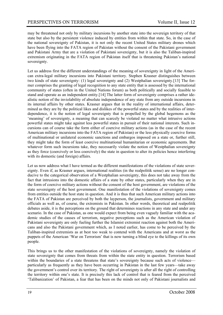may be threatened not only by military incursions by another state into the sovereign territory of that state but also by the persistent violence induced by entities from within that state. So, in the case of the national sovereignty of Pakistan, it is not only the recent United States military drones which have been flying into the FATA region of Pakistan without the consent of the Pakistani government and Pakistani Army that are a violation of Pakistani sovereignty, but it is also the Taliban-inspired extremism originating in the FATA region of Pakistan itself that is threatening Pakistan's national sovereignty.

Let us address first the different understandings of the meaning of sovereignty in light of the American extra-legal military incursions into Pakistani territory. Stephen Krasner distinguishes between two kinds of state sovereignty: (1) legal sovereignty and (2) Westphalian sovereignty.[13] The former comprises the granting of legal recognition to any state entity that is assessed by the international community of states (often in the United Nations forum) as both politically and socially feasible to stand and operate as an independent entity.[14] The latter form of sovereignty comprises a rather idealistic notion of the inviolability of absolute independence of any state from any outside incursions in its internal affairs by other states. Krasner argues that in the reality of international affairs, determined as they are by the political likes and dislikes of the powerful states and by the realities of interdependence, it is the notion of legal sovereignty that is propelled by the global hegemons as the 'meaning' of sovereignty, a meaning that can scarcely be violated no matter what intrusive actions powerful states might take against less powerful states in pursuit of their national interests. Such incursions can of course take the form either of coercive military actions (as in the case of the recent American military incursions into the FATA region of Pakistan) or the less physically coercive forms of multinational or unilateral economic sanctions and embargos imposed on a state or, further still, they might take the form of least coercive multinational humanitarian or economic agreements. But whatever form such incursions take, they necessarily violate the notion of Westphalian sovereignty as they force (coercively or less coercively) the state in question to alter its policies hence interfering with its domestic (and foreign) affairs.

Let us now address what I have termed as the different manifestations of the violations of state sovereignty. Even if, as Krasner argues, international realities (in the realpolitik sense) are no longer conducive to the categorical observation of a Westphalian sovereignty, this does not take away from the fact that intrusions into the domestic affairs of a state by other states, particularly when they are in the form of coercive military actions without the consent of the host government, are violations of the state sovereignty of the host government. One manifestation of the violations of sovereignty comes from entities outside the host state in question. And it is thus that such American military actions into the FATA of Pakistan are perceived by both the layperson, the journalists, government and military officials as well as, of course, the extremists in Pakistan. In other words, theoretical and realpolitik debates aside, it is the perceptions on the ground that determines reactions in any state and under any scenario. In the case of Pakistan, as one would expect from being even vaguely familiar with the academic studies of the causes of terrorism, negative perceptions such as the American violation of Pakistani sovereignty are only fueling further the Islamist extremist reaction against both the Americans and also the Pakistani government which, as I noted earlier, has come to be perceived by the Taliban-inspired extremists as at best too weak to contend with the Americans and at worst as the puppets of the American 'War on Terrorism' that is now turning a blind eye to the killings of its own people.

This brings us to the other manifestation of the violations of sovereignty, namely the violation of state sovereignty that comes from threats from within the state entity in question. Terrorism based within the boundaries of a state threatens that state's sovereignty because such acts of violence particularly as frequently as they have been occurring in Pakistan in the last few years—take away the government's control over its territory. The right of sovereignty is after all the right of controlling the territory within one's state. It is precisely this lack of control that is feared from the perceived 'Talibanization' of Pakistan, a fear that has been on the minds not only of Pakistani journalists and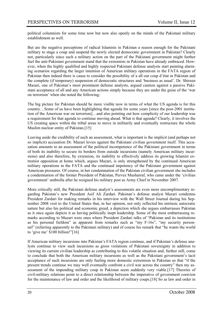political columnists for some time now but now also openly on the minds of the Pakistani military establishment as well.

But are the negative perceptions of radical Islamists in Pakistan a reason enough for the Pakistani military to stage a coup and suspend the newly elected democratic government in Pakistan? Clearly not, particularly since such a military action on the part of the Pakistani government might further fuel the anti-Pakistani government stand that the extremists in Pakistan have already embraced. However, when the highly qualified and highly respected Pakistani defense analysts start painting alarming scenarios regarding the larger intention of American military operations in the FATA region of Pakistan then indeed there is cause to consider the possibility of a all out coup d'état in Pakistan and the complete (if temporary) suspension of democratic structures and 'business as usual'. Dr. Shireen Mazari, one of Pakistan's most prominent defense analysts, argued caution against a passive Pakistani acceptance of all and any American actions simply because they are under the guise of the 'war on terrorism' when she noted the following:

The big picture for Pakistan should be more visible now in terms of what the US agenda is for this country…Some of us have been highlighting that agenda for some years [since the post-2001 institution of the American war on terrorism]…and also pointing out how complicity of our leadership was a requirement for that agenda to continue moving ahead. What is that agenda? Clearly, it involves the US creating space within the tribal areas to move in militarily and eventually restructure the whole Muslim nuclear entity of Pakistan.<sup>[15]</sup>

Leaving aside the credibility of such an assessment, what is important is the implicit (and perhaps not so implicit) accusation Dr. Mazari levies against the Pakistani civilian government itself. This accusation amounts to an assessment of the political incompetence of the Pakistani government in terms of both its inability to secure its borders from outside incursions (namely American military incursions) and also therefore, by extension, its inability to effectively address its growing Islamist extremist opposition at home which, argues Mazari, is only strengthened by the continued American military operations in the FATA and the continued impotency of the Pakistani government against American pressures. Of course, in her condemnation of the Pakistan civilian government she includes a condemnation of the former President of Pakistan, Pervez Musharraf, who came under the 'civilian government' umbrella after he resigned his military post as Army Chief in November 2007.

More critically still, the Pakistani defense analyst's assessments are even more uncomplimentary regarding Pakistan's new President Asif Ali Zardari. Pakistan's defense analyst Mazari condemns President Zardari for making remarks in his interview with the Wall Street Journal during his September 2008 visit to the United States that, in her opinion, not only reflected his intrinsic autocratic nature but also his political and economic greed, a depiction which she argues embarrasses Pakistan as it once again depicts it as having politically inept leadership. Some of the most embarrassing remarks according to Mazari were ones where President Zardari talks of "Pakistan and its institutions as his personal fiefdom" as apparent from remarks such as "my F-16s", "my security personnel" (referring apparently to the Pakistani military) and of course his remark that "he wants the world to 'give me' \$100 billion!"[16]

If American military incursions into Pakistan's FATA region continue, and if Pakistan's defense analysts continue to view such incursions as gross violations of Pakistani sovereignty in addition to viewing its current civilian leadership as contributing to this volatile situation and, further still, come to conclude that both the American military incursions as well as the Pakistani government's tacit acceptance of such incursions are only fueling more domestic extremism in Pakistan so that "if the present trends continue we may well eventually confront a civil war across the country" then my assessment of the impending military coup in Pakistan seem suddenly very viable.[17] Theories of civil-military relations point to a direct relationship between the imperative of government coercion for the maintenance of law and order and the likelihood of military coups.[18] So as law and order in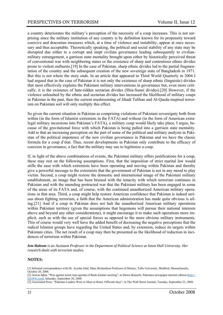a country deteriorates the military's perception of the necessity of a coup increases. This is not surprising since the military institution of any country is by definition known for its propensity toward coercive and draconian measures which, at a time of violence and instability, appear at once necessary and thus acceptable. Theoretically speaking, the political and social stability of any state may be disrupted due either to a corrupt and inept civilian governance leading subsequently to civilianmilitary estrangement, a garrison state mentality brought upon either by historically perceived threat of conventional war with neighboring states or the existence of sharp and contentious ethnic divides prone to violent outbursts.[19] In the case of Pakistan, sharp ethnic divides led to the partial fragmentation of the country and the subsequent creation of the new sovereign state of Bangladesh in 1971. But this is not where the story ends. In an article that appeared in Third World Quarterly in 2004 I had argued that in the case of Pakistan it is not only the existence of sharp ethnic (linguistic) divides that most effectively explains the Pakistani military interventions in governance but, even more critically, it is the existence of hate-ridden sectarian divides (Shia-Sunni divides).[20] However, if the violence unleashed by the ethnic and sectarian divides has increased the likelihood of military coups in Pakistan in the past, then the current mushrooming of Jihadi Taliban and Al-Qaeda-inspired terrorism on Pakistani soil will only multiply this effect.

So given the current situation in Pakistan as comprising violations of Pakistani sovereignty both from within (in the form of Islamist extremists in the FATA) and without (in the form of American extralegal military incursions into Pakistan's FATA), a military coup would likely take place, I argue, because of the gravitational force with which Pakistan is being pulled into a garrison state mentality. Add to that an increasing perception on the part of some of the political and military analysts in Pakistan of the political impotence of the new civilian governance in Pakistan and we have the classic formula for a coup d'état. Thus, recent developments in Pakistan only contribute to the efficacy of coercion in governance, a fact that the military may use to legitimize a coup.

If, in light of the above combinations of events, the Pakistani military offers justifications for a coup, these may rest on the following assumptions. First, that the imposition of strict marital law would stifle the ease with which extremists have been operating and moving within Pakistan and thereby give a powerful message to the extremists that the government of Pakistan is not in any mood to play victim. Second, a coup might restore the domestic and international image of the Pakistani military establishment, an image that has been bruised with the tenacity with which terrorism continues in Pakistan and with the unending protracted war that the Pakistani military has been engaged in some of the areas of its FATA and, of course, with the continued unauthorized American military operations in that area. Third, a coup might help restore American confidence that Pakistan is indeed serious about fighting terrorism, a faith that the American administration has made quite obvious is ailing.[21] And if a coup in Pakistan does not halt the unauthorized American military operations within Pakistani territory (given the assumptions that hegemons will pursue their national interests above and beyond any other considerations), it might encourage it to make such operations more implicit, such as with the use of special forces as opposed to the more obvious military instruments. This of course would very well have the added benefit of decreasing the negative perceptions that the radical Islamist groups have regarding the United States and, by extension, reduce its targets within Pakistani cities. The net result of a coup may then be presented as the likelihood of reduction in incidences of terrorism within Pakistan.

*Irm Haleem is an Assistant Professor in the Department of Political Science at Seton Hall University. Her research deals with terrorism studies.* 

#### **NOTES:**

- [1] Informal correspondence with Dr. Ayesha Jalal, Mary Richardson Professor of History, Tufts University, Medford, Massachusetts, October 20, 2008.
- [2] Anwar Iqbal, "War against terror tops agenda of Bush-Zardari meeting", in Dawn (Karachi, Pakistan) newspaper internet edition (http:// DAWN.com), Saturday, September 20, 2008.
- [3] Associated Press. "Pakistan Leaders Were to Meet at Hotel, Officials Says", in The Wall Street Journal, Tuesday, September 23, 2008,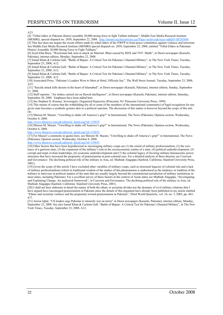$\triangle$  23.

[4] "Tribal elders in Pakistan district assemble 20,000-strong force to fight Taliban militants", Middle East Media Research Institute (MEMRI), special dispatch no. 2058, September 22, 2008. http://memri.org/bin/articles.cgi?Page=archives&Area=sd&ID=SP205808

[5] This fact does not negate the recent efforts made by tribal elders of the NWFP to form peace committees against violence and terrorism. See Middle East Media Research Institute (MEMRI) special dispatch no. 2058, September 22, 2008, entitled "Tribal Elders in Pakistani District Assemble 20,000 Strong Force to Fight Talibans".

[6] Syed Irfan Raza, "Waziristan link seen in attack on Marriott: Blast caused by RDX and TNT: Malik", in Dawn newspaper (Karachi, Pakistan), internet edition, Monday, September 22, 2008.

[7] Ismail Khan & Carlotta Gall, "Battle of Bajaur: A Critical Test for Pakistan's Daunted Military", in The New York Times, Tuesday, September 23, 2008, A12.

[8] Ismail Khan & Carlotta Gall, "Battle of Bajaur: A Critical Test for Pakistan's Daunted Military", in The New York Times, Tuesday, September 23, 2008, A12.

[9] Ismail Khan & Carlotta Gall, "Battle of Bajaur: A Critical Test for Pakistan's Daunted Military", in The New York Times, Tuesday, September 23, 2008, A12.

[10] Associated Press, "Pakistan's Leaders Were to Meet at Hotel, Officials Say", The Wall Street Journal, Tuesday, September 23, 2008,  $A23$ 

[11] "Suicide attack kills dozens in the heart of Islamabad", in Dawn newspaper (Karachi, Pakistan), internet edition, Sunday, September 21, 2008.

[12] Staff reporter, "Air strikes carried out on flawed intelligence", in Dawn newspaper (Karachi, Pakistan), internet edition, Saturday, September 20, 2008. Emphases have been added here.

[13] See Stephen D. Krasner, Sovereignty: Organized Hypocrisy (Princeton, NJ: Princeton University Press, 1999).

[14] This means of course that the withholding (by all or some of the members of the international community) of legal recognition for any given state becomes a symbolic gesture akin to a political sanction. The discussion of this matter is however beyond the scope of this article.

[15] Shireen M. Mazari, "Unwilling to shake off America's grip?" in International, The News (Pakistan), Opinion section, Wednesday, October 8, 2008.

http://www.thenews.com.pk/editorial\_detail.asp?id=139855

[16] Shireen M. Mazari, "Unwilling to shake off America's grip?" in International, The News (Pakistan), Opinion section, Wednesday, October 8, 2008.

http://www.thenews.com.pk/editorial\_detail.asp?id=139855

[17] For Mazari's comments in quotes here, see Shireen M. Mazari, "Unwilling to shake off America's grip?" in International, The News (Pakistan), Opinion section, Wednesday, October 8, 2008.

http://www.thenews.com.pk/editorial\_detail.asp?id=139855

[18] Other factors that have been hypothesized as encouraging military coups are (1) the extent of military professionalism, (2) the existence of a garrison state, (3) the expansion of the military's role in the socioeconomic realms of a state, (4) political underdevelopment, (5) corrupt and inept civilian leaderships, (6) economic underdevelopment and (7) the colonial legacy of favoring military-bureaucratic power structures that have increased the propensity of praetorianism in post-colonial eras. For a detailed analysis of these theories see Coercion and Governance: The declining political role of the military in Asia, ed. Muthiah Alagappa (Sanford, California: Stanford University Press, 2001).

[19] Given the scope of this article I have excluded other variables of military coups, such as structural legacies of colonial rule and a lack of military professionalism (which in traditional wisdom of the studies of this phenomenon is understood as the tendency or tradition of the military to intervene in political matters of the state that are usually largely beyond the constitutional jurisdiction of military institutions in most states, including Pakistan). For a excellent survey of these factors in the context of Asian states see Muthiah Alagappa, "Investigating and Explaining Change: An analytical framework", in Coercion and Governance: The declining political role of the military in Asia, ed. Muthiah Alagappa (Sanford, California: Stanford University Press, 2001).

[20] I shall not here elaborate in detail the nature of both the ethnic or sectarian divides nor the dynamic of civil military relations that I have argued have encouraged praetorianism in Pakistan since the details of this argument have already been published in my article entitled "Ethnic and sectarian violence and the propensity toward praetorianism in Pakistan", Third World Quarterly, vol. 24, no. 3, 2003, pp. 463- 477.

[21] Anwar Iqbal, "US leaders urge Pakistan to intensify war on terror" in Dawn newspaper (Karachi, Pakistan), internet edition, Monday, September 22, 2008. See also Ismail Khan & Carlotta Gall, "Battle of Bajaur: A Critical Test for Pakistan's Daunted Military", in The New York Times, Tuesday, September 23, 2008, A12.